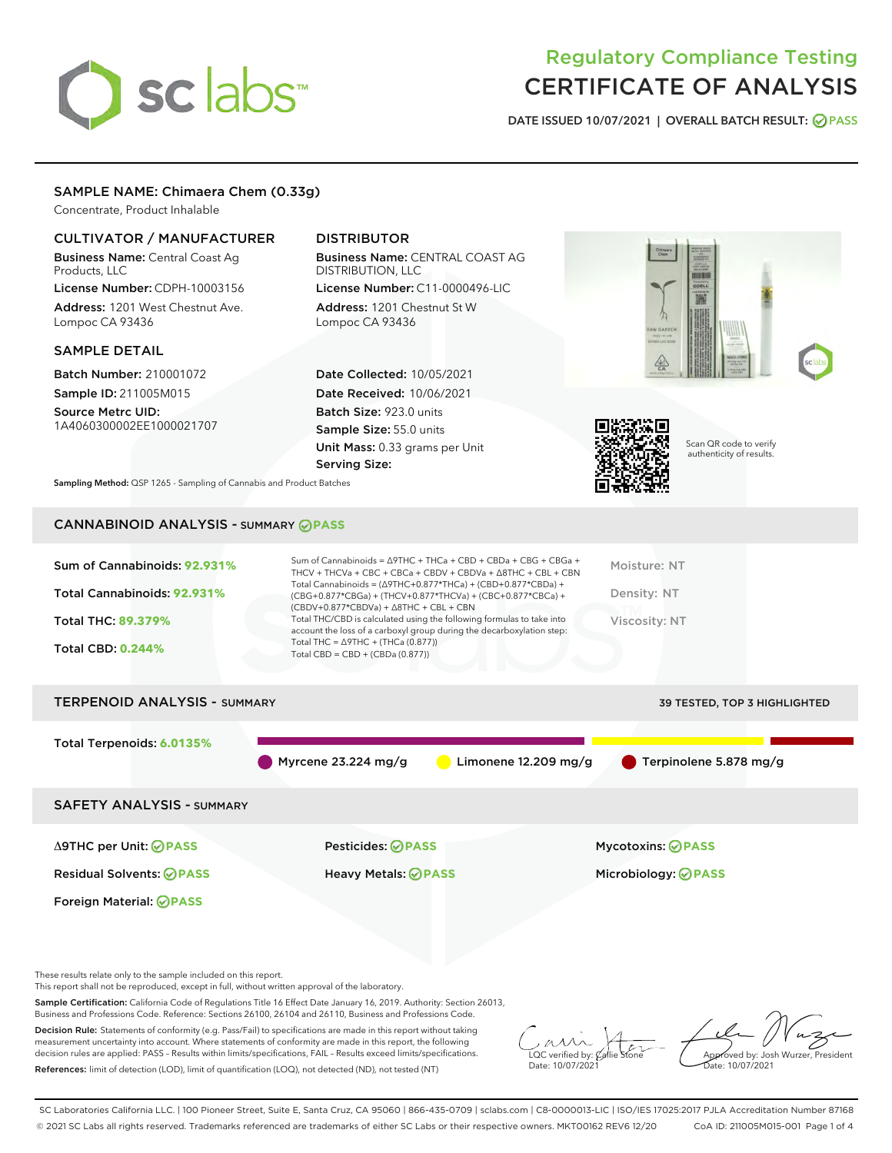# sclabs<sup>\*</sup>

# Regulatory Compliance Testing CERTIFICATE OF ANALYSIS

DATE ISSUED 10/07/2021 | OVERALL BATCH RESULT: @ PASS

# SAMPLE NAME: Chimaera Chem (0.33g)

Concentrate, Product Inhalable

## CULTIVATOR / MANUFACTURER

Business Name: Central Coast Ag Products, LLC License Number: CDPH-10003156

Address: 1201 West Chestnut Ave. Lompoc CA 93436

#### SAMPLE DETAIL

Batch Number: 210001072 Sample ID: 211005M015

Source Metrc UID: 1A4060300002EE1000021707

# DISTRIBUTOR

Business Name: CENTRAL COAST AG DISTRIBUTION, LLC License Number: C11-0000496-LIC

Address: 1201 Chestnut St W Lompoc CA 93436

Date Collected: 10/05/2021 Date Received: 10/06/2021 Batch Size: 923.0 units Sample Size: 55.0 units Unit Mass: 0.33 grams per Unit Serving Size:





Scan QR code to verify authenticity of results.

Sampling Method: QSP 1265 - Sampling of Cannabis and Product Batches

# CANNABINOID ANALYSIS - SUMMARY **PASS**

| Total Cannabinoids: 92.931%<br>Density: NT<br>(CBG+0.877*CBGa) + (THCV+0.877*THCVa) + (CBC+0.877*CBCa) +<br>$(CBDV+0.877*CBDVa) + \Delta 8THC + CBL + CBN$<br>Total THC/CBD is calculated using the following formulas to take into<br>Total THC: 89.379%<br>Viscosity: NT<br>account the loss of a carboxyl group during the decarboxylation step:<br>Total THC = $\triangle$ 9THC + (THCa (0.877))<br><b>Total CBD: 0.244%</b><br>Total CBD = $CBD + (CBDa (0.877))$ | Sum of Cannabinoids: 92.931% | Sum of Cannabinoids = $\triangle$ 9THC + THCa + CBD + CBDa + CBG + CBGa +<br>THCV + THCVa + CBC + CBCa + CBDV + CBDVa + $\Delta$ 8THC + CBL + CBN<br>Total Cannabinoids = $(\Delta$ 9THC+0.877*THCa) + (CBD+0.877*CBDa) + | Moisture: NT |
|------------------------------------------------------------------------------------------------------------------------------------------------------------------------------------------------------------------------------------------------------------------------------------------------------------------------------------------------------------------------------------------------------------------------------------------------------------------------|------------------------------|---------------------------------------------------------------------------------------------------------------------------------------------------------------------------------------------------------------------------|--------------|
|                                                                                                                                                                                                                                                                                                                                                                                                                                                                        |                              |                                                                                                                                                                                                                           |              |
|                                                                                                                                                                                                                                                                                                                                                                                                                                                                        |                              |                                                                                                                                                                                                                           |              |
|                                                                                                                                                                                                                                                                                                                                                                                                                                                                        |                              |                                                                                                                                                                                                                           |              |

# TERPENOID ANALYSIS - SUMMARY 39 TESTED, TOP 3 HIGHLIGHTED Total Terpenoids: **6.0135%** Myrcene 23.224 mg/g  $\qquad \qquad$  Limonene 12.209 mg/g  $\qquad \qquad$  Terpinolene 5.878 mg/g SAFETY ANALYSIS - SUMMARY Δ9THC per Unit: **PASS** Pesticides: **PASS** Mycotoxins: **PASS**

Foreign Material: **PASS**

Residual Solvents: **PASS** Heavy Metals: **PASS** Microbiology: **PASS**

These results relate only to the sample included on this report.

This report shall not be reproduced, except in full, without written approval of the laboratory.

Sample Certification: California Code of Regulations Title 16 Effect Date January 16, 2019. Authority: Section 26013, Business and Professions Code. Reference: Sections 26100, 26104 and 26110, Business and Professions Code.

Decision Rule: Statements of conformity (e.g. Pass/Fail) to specifications are made in this report without taking measurement uncertainty into account. Where statements of conformity are made in this report, the following decision rules are applied: PASS – Results within limits/specifications, FAIL – Results exceed limits/specifications. References: limit of detection (LOD), limit of quantification (LOQ), not detected (ND), not tested (NT)

 $\overline{\text{LOC}}$  verified by:  $\mathcal C$ Date: 10/07/2021

Aved by: Josh Wurzer, President Date: 10/07/2021

SC Laboratories California LLC. | 100 Pioneer Street, Suite E, Santa Cruz, CA 95060 | 866-435-0709 | sclabs.com | C8-0000013-LIC | ISO/IES 17025:2017 PJLA Accreditation Number 87168 © 2021 SC Labs all rights reserved. Trademarks referenced are trademarks of either SC Labs or their respective owners. MKT00162 REV6 12/20 CoA ID: 211005M015-001 Page 1 of 4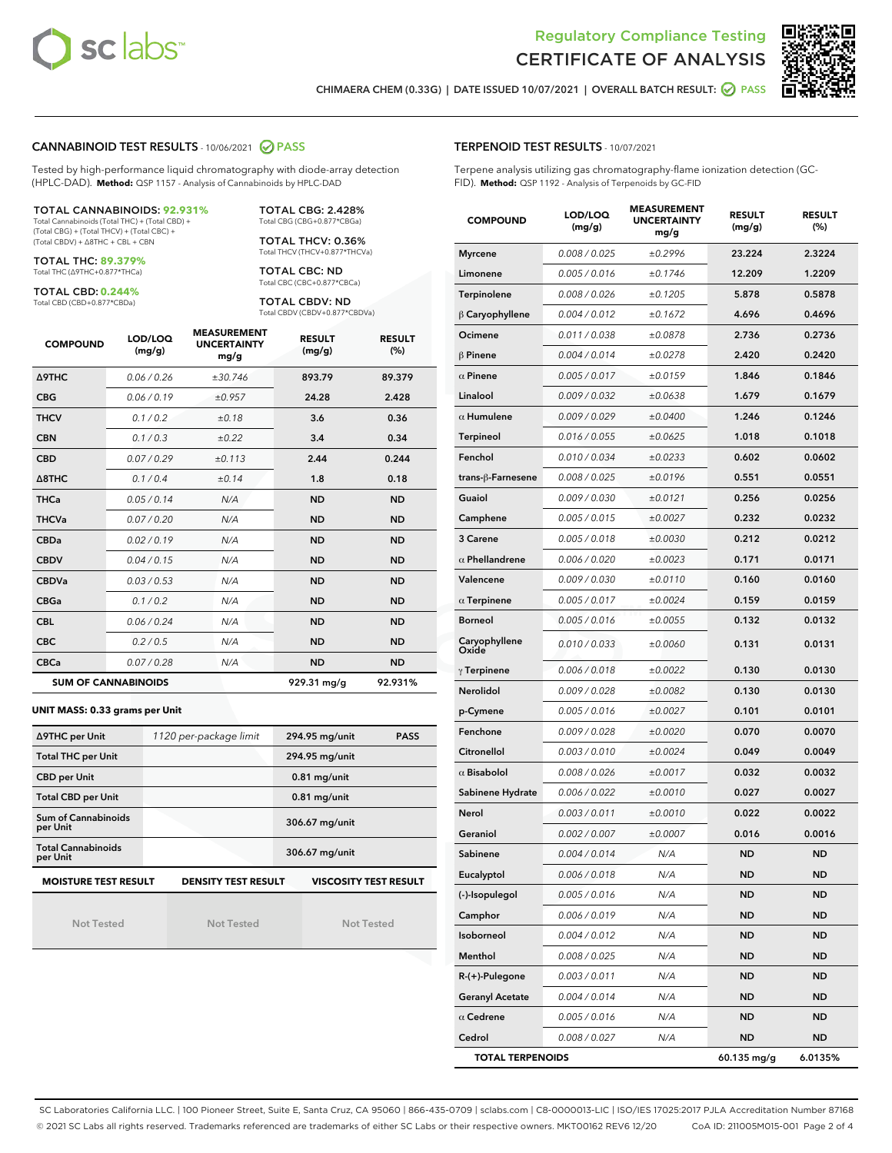



CHIMAERA CHEM (0.33G) | DATE ISSUED 10/07/2021 | OVERALL BATCH RESULT: @ PASS

#### CANNABINOID TEST RESULTS - 10/06/2021 2 PASS

Tested by high-performance liquid chromatography with diode-array detection (HPLC-DAD). **Method:** QSP 1157 - Analysis of Cannabinoids by HPLC-DAD

#### TOTAL CANNABINOIDS: **92.931%**

Total Cannabinoids (Total THC) + (Total CBD) + (Total CBG) + (Total THCV) + (Total CBC) + (Total CBDV) + ∆8THC + CBL + CBN

TOTAL THC: **89.379%** Total THC (∆9THC+0.877\*THCa)

TOTAL CBD: **0.244%**

Total CBD (CBD+0.877\*CBDa)

TOTAL CBG: 2.428% Total CBG (CBG+0.877\*CBGa)

TOTAL THCV: 0.36% Total THCV (THCV+0.877\*THCVa)

TOTAL CBC: ND Total CBC (CBC+0.877\*CBCa)

TOTAL CBDV: ND Total CBDV (CBDV+0.877\*CBDVa)

| <b>COMPOUND</b>  | LOD/LOQ<br>(mg/g)          | <b>MEASUREMENT</b><br><b>UNCERTAINTY</b><br>mg/g | <b>RESULT</b><br>(mg/g) | <b>RESULT</b><br>(%) |
|------------------|----------------------------|--------------------------------------------------|-------------------------|----------------------|
| <b>A9THC</b>     | 0.06 / 0.26                | ±30.746                                          | 893.79                  | 89.379               |
| <b>CBG</b>       | 0.06 / 0.19                | ±0.957                                           | 24.28                   | 2.428                |
| <b>THCV</b>      | 0.1/0.2                    | ±0.18                                            | 3.6                     | 0.36                 |
| <b>CBN</b>       | 0.1/0.3                    | ±0.22                                            | 3.4                     | 0.34                 |
| <b>CBD</b>       | 0.07/0.29                  | ±0.113                                           | 2.44                    | 0.244                |
| $\triangle$ 8THC | 0.1 / 0.4                  | ±0.14                                            | 1.8                     | 0.18                 |
| <b>THCa</b>      | 0.05/0.14                  | N/A                                              | <b>ND</b>               | <b>ND</b>            |
| <b>THCVa</b>     | 0.07/0.20                  | N/A                                              | <b>ND</b>               | <b>ND</b>            |
| <b>CBDa</b>      | 0.02/0.19                  | N/A                                              | <b>ND</b>               | <b>ND</b>            |
| <b>CBDV</b>      | 0.04 / 0.15                | N/A                                              | <b>ND</b>               | <b>ND</b>            |
| <b>CBDVa</b>     | 0.03/0.53                  | N/A                                              | <b>ND</b>               | <b>ND</b>            |
| <b>CBGa</b>      | 0.1/0.2                    | N/A                                              | <b>ND</b>               | <b>ND</b>            |
| <b>CBL</b>       | 0.06 / 0.24                | N/A                                              | <b>ND</b>               | <b>ND</b>            |
| <b>CBC</b>       | 0.2 / 0.5                  | N/A                                              | <b>ND</b>               | <b>ND</b>            |
| <b>CBCa</b>      | 0.07 / 0.28                | N/A                                              | <b>ND</b>               | <b>ND</b>            |
|                  | <b>SUM OF CANNABINOIDS</b> |                                                  | 929.31 mg/g             | 92.931%              |

#### **UNIT MASS: 0.33 grams per Unit**

| ∆9THC per Unit                        | 1120 per-package limit     | 294.95 mg/unit<br><b>PASS</b> |  |  |
|---------------------------------------|----------------------------|-------------------------------|--|--|
| <b>Total THC per Unit</b>             |                            | 294.95 mg/unit                |  |  |
| <b>CBD</b> per Unit                   |                            | $0.81$ mg/unit                |  |  |
| <b>Total CBD per Unit</b>             |                            | $0.81$ mg/unit                |  |  |
| Sum of Cannabinoids<br>per Unit       |                            | 306.67 mg/unit                |  |  |
| <b>Total Cannabinoids</b><br>per Unit |                            | 306.67 mg/unit                |  |  |
| <b>MOISTURE TEST RESULT</b>           | <b>DENSITY TEST RESULT</b> | <b>VISCOSITY TEST RESULT</b>  |  |  |

Not Tested

Not Tested

Not Tested

#### TERPENOID TEST RESULTS - 10/07/2021

Terpene analysis utilizing gas chromatography-flame ionization detection (GC-FID). **Method:** QSP 1192 - Analysis of Terpenoids by GC-FID

| <b>COMPOUND</b>         | LOD/LOQ<br>(mg/g) | <b>MEASUREMENT</b><br><b>UNCERTAINTY</b><br>mg/g | <b>RESULT</b><br>(mg/g) | <b>RESULT</b><br>(%) |
|-------------------------|-------------------|--------------------------------------------------|-------------------------|----------------------|
| <b>Myrcene</b>          | 0.008 / 0.025     | ±0.2996                                          | 23.224                  | 2.3224               |
| Limonene                | 0.005 / 0.016     | ±0.1746                                          | 12.209                  | 1.2209               |
| Terpinolene             | 0.008 / 0.026     | ±0.1205                                          | 5.878                   | 0.5878               |
| $\beta$ Caryophyllene   | 0.004 / 0.012     | ±0.1672                                          | 4.696                   | 0.4696               |
| Ocimene                 | 0.011 / 0.038     | ±0.0878                                          | 2.736                   | 0.2736               |
| $\beta$ Pinene          | 0.004 / 0.014     | ±0.0278                                          | 2.420                   | 0.2420               |
| $\alpha$ Pinene         | 0.005 / 0.017     | ±0.0159                                          | 1.846                   | 0.1846               |
| Linalool                | 0.009 / 0.032     | ±0.0638                                          | 1.679                   | 0.1679               |
| $\alpha$ Humulene       | 0.009/0.029       | ±0.0400                                          | 1.246                   | 0.1246               |
| <b>Terpineol</b>        | 0.016 / 0.055     | ±0.0625                                          | 1.018                   | 0.1018               |
| Fenchol                 | 0.010 / 0.034     | ±0.0233                                          | 0.602                   | 0.0602               |
| trans-ß-Farnesene       | 0.008 / 0.025     | ±0.0196                                          | 0.551                   | 0.0551               |
| Guaiol                  | 0.009 / 0.030     | ±0.0121                                          | 0.256                   | 0.0256               |
| Camphene                | 0.005 / 0.015     | ±0.0027                                          | 0.232                   | 0.0232               |
| 3 Carene                | 0.005 / 0.018     | ±0.0030                                          | 0.212                   | 0.0212               |
| $\alpha$ Phellandrene   | 0.006 / 0.020     | ±0.0023                                          | 0.171                   | 0.0171               |
| Valencene               | 0.009 / 0.030     | ±0.0110                                          | 0.160                   | 0.0160               |
| $\alpha$ Terpinene      | 0.005 / 0.017     | ±0.0024                                          | 0.159                   | 0.0159               |
| <b>Borneol</b>          | 0.005 / 0.016     | ±0.0055                                          | 0.132                   | 0.0132               |
| Caryophyllene<br>Oxide  | 0.010 / 0.033     | ±0.0060                                          | 0.131                   | 0.0131               |
| $\gamma$ Terpinene      | 0.006 / 0.018     | ±0.0022                                          | 0.130                   | 0.0130               |
| Nerolidol               | 0.009 / 0.028     | ±0.0082                                          | 0.130                   | 0.0130               |
| p-Cymene                | 0.005 / 0.016     | ±0.0027                                          | 0.101                   | 0.0101               |
| Fenchone                | 0.009 / 0.028     | ±0.0020                                          | 0.070                   | 0.0070               |
| Citronellol             | 0.003 / 0.010     | ±0.0024                                          | 0.049                   | 0.0049               |
| $\alpha$ Bisabolol      | 0.008 / 0.026     | ±0.0017                                          | 0.032                   | 0.0032               |
| Sabinene Hydrate        | 0.006 / 0.022     | ±0.0010                                          | 0.027                   | 0.0027               |
| Nerol                   | 0.003 / 0.011     | ±0.0010                                          | 0.022                   | 0.0022               |
| Geraniol                | 0.002 / 0.007     | ±0.0007                                          | 0.016                   | 0.0016               |
| Sabinene                | 0.004 / 0.014     | N/A                                              | ND                      | <b>ND</b>            |
| Eucalyptol              | 0.006 / 0.018     | N/A                                              | ND                      | ND                   |
| (-)-Isopulegol          | 0.005 / 0.016     | N/A                                              | ND                      | ND                   |
| Camphor                 | 0.006 / 0.019     | N/A                                              | <b>ND</b>               | <b>ND</b>            |
| Isoborneol              | 0.004 / 0.012     | N/A                                              | ND                      | ND                   |
| Menthol                 | 0.008 / 0.025     | N/A                                              | ND                      | ND                   |
| $R-(+)$ -Pulegone       | 0.003 / 0.011     | N/A                                              | ND                      | <b>ND</b>            |
| <b>Geranyl Acetate</b>  | 0.004 / 0.014     | N/A                                              | <b>ND</b>               | ND                   |
| $\alpha$ Cedrene        | 0.005 / 0.016     | N/A                                              | ND                      | ND                   |
| Cedrol                  | 0.008 / 0.027     | N/A                                              | <b>ND</b>               | ND                   |
| <b>TOTAL TERPENOIDS</b> |                   |                                                  | 60.135 mg/g             | 6.0135%              |

SC Laboratories California LLC. | 100 Pioneer Street, Suite E, Santa Cruz, CA 95060 | 866-435-0709 | sclabs.com | C8-0000013-LIC | ISO/IES 17025:2017 PJLA Accreditation Number 87168 © 2021 SC Labs all rights reserved. Trademarks referenced are trademarks of either SC Labs or their respective owners. MKT00162 REV6 12/20 CoA ID: 211005M015-001 Page 2 of 4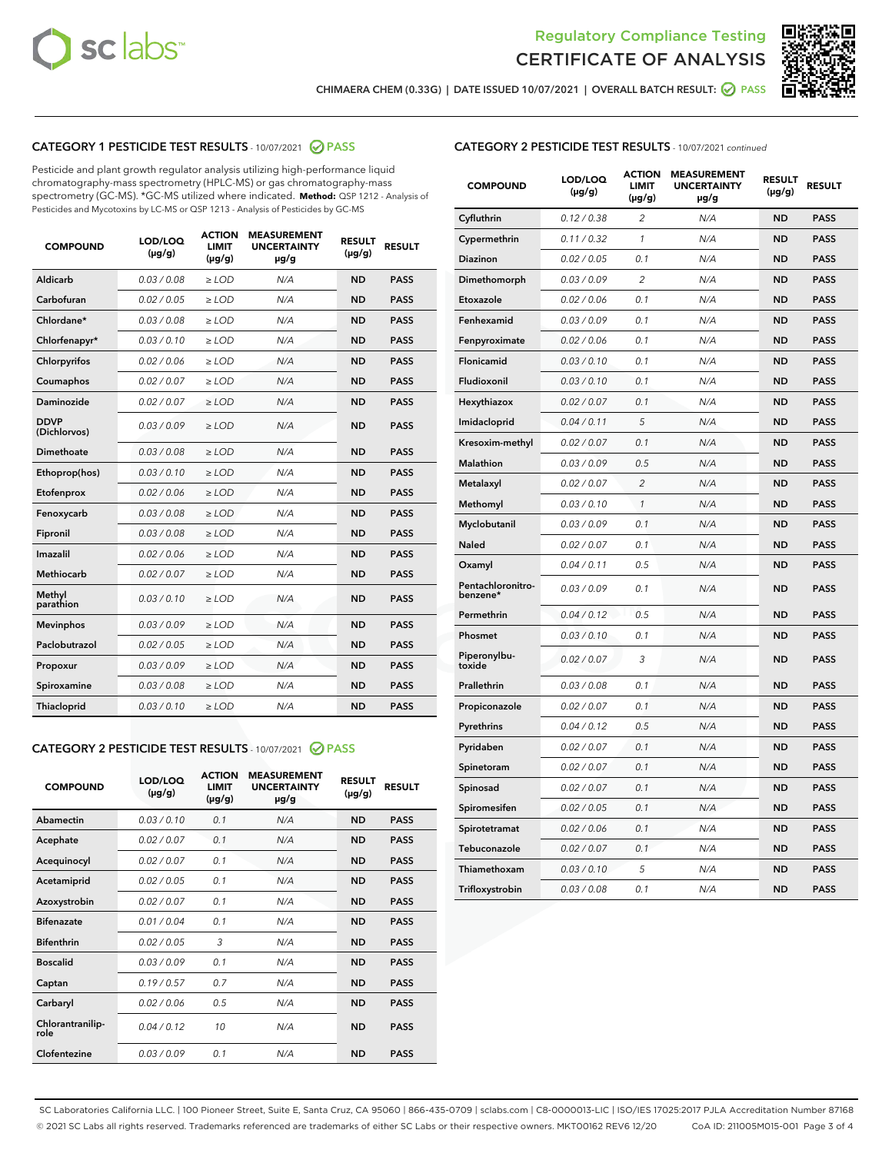



CHIMAERA CHEM (0.33G) | DATE ISSUED 10/07/2021 | OVERALL BATCH RESULT: ☑ PASS

# CATEGORY 1 PESTICIDE TEST RESULTS - 10/07/2021 2 PASS

Pesticide and plant growth regulator analysis utilizing high-performance liquid chromatography-mass spectrometry (HPLC-MS) or gas chromatography-mass spectrometry (GC-MS). \*GC-MS utilized where indicated. **Method:** QSP 1212 - Analysis of Pesticides and Mycotoxins by LC-MS or QSP 1213 - Analysis of Pesticides by GC-MS

| Aldicarb<br>0.03 / 0.08<br>$\geq$ LOD<br><b>ND</b><br><b>PASS</b><br>N/A<br>Carbofuran<br>0.02 / 0.05<br>$>$ LOD<br>N/A<br><b>ND</b><br><b>PASS</b><br>Chlordane*<br>0.03 / 0.08<br>$\ge$ LOD<br>N/A<br><b>ND</b><br><b>PASS</b><br>Chlorfenapyr*<br>0.03/0.10<br>$>$ LOD<br>N/A<br><b>ND</b><br><b>PASS</b><br>Chlorpyrifos<br>0.02 / 0.06<br>N/A<br><b>ND</b><br><b>PASS</b><br>≥ LOD<br><b>PASS</b><br>Coumaphos<br>0.02 / 0.07<br>$\ge$ LOD<br>N/A<br><b>ND</b><br>Daminozide<br>0.02 / 0.07<br>N/A<br><b>ND</b><br><b>PASS</b><br>$\geq$ LOD<br><b>DDVP</b><br>0.03/0.09<br><b>ND</b><br><b>PASS</b><br>$\geq$ LOD<br>N/A<br>(Dichlorvos)<br>Dimethoate<br>0.03 / 0.08<br>N/A<br><b>ND</b><br><b>PASS</b><br>$>$ LOD<br>Ethoprop(hos)<br>0.03/0.10<br>$\ge$ LOD<br>N/A<br><b>ND</b><br><b>PASS</b><br>N/A<br>0.02 / 0.06<br>$>$ LOD<br><b>ND</b><br><b>PASS</b><br>Etofenprox<br>0.03 / 0.08<br>N/A<br><b>ND</b><br><b>PASS</b><br>Fenoxycarb<br>$\geq$ LOD<br>0.03/0.08<br>$>$ LOD<br>N/A<br><b>ND</b><br><b>PASS</b><br>Fipronil<br>0.02 / 0.06<br>N/A<br>Imazalil<br>$\geq$ LOD<br><b>ND</b><br><b>PASS</b><br><b>Methiocarb</b><br>0.02 / 0.07<br>$\ge$ LOD<br>N/A<br><b>ND</b><br><b>PASS</b><br>Methyl<br>0.03/0.10<br>N/A<br><b>ND</b><br><b>PASS</b><br>$\geq$ LOD<br>parathion<br><b>Mevinphos</b><br>0.03/0.09<br>$>$ LOD<br>N/A<br><b>ND</b><br><b>PASS</b><br>Paclobutrazol<br>0.02 / 0.05<br>$\geq$ LOD<br>N/A<br><b>ND</b><br><b>PASS</b><br>0.03/0.09<br>$\ge$ LOD<br>N/A<br><b>ND</b><br><b>PASS</b><br>Propoxur<br>Spiroxamine<br>0.03 / 0.08<br>$\ge$ LOD<br>N/A<br><b>ND</b><br><b>PASS</b><br>Thiacloprid<br>0.03/0.10<br>N/A<br><b>ND</b><br><b>PASS</b><br>$\geq$ LOD | <b>COMPOUND</b> | LOD/LOQ<br>$(\mu g/g)$ | <b>ACTION</b><br><b>LIMIT</b><br>$(\mu g/g)$ | <b>MEASUREMENT</b><br><b>UNCERTAINTY</b><br>µg/g | <b>RESULT</b><br>$(\mu g/g)$ | <b>RESULT</b> |
|--------------------------------------------------------------------------------------------------------------------------------------------------------------------------------------------------------------------------------------------------------------------------------------------------------------------------------------------------------------------------------------------------------------------------------------------------------------------------------------------------------------------------------------------------------------------------------------------------------------------------------------------------------------------------------------------------------------------------------------------------------------------------------------------------------------------------------------------------------------------------------------------------------------------------------------------------------------------------------------------------------------------------------------------------------------------------------------------------------------------------------------------------------------------------------------------------------------------------------------------------------------------------------------------------------------------------------------------------------------------------------------------------------------------------------------------------------------------------------------------------------------------------------------------------------------------------------------------------------------------------------------------------------------------------------------------------|-----------------|------------------------|----------------------------------------------|--------------------------------------------------|------------------------------|---------------|
|                                                                                                                                                                                                                                                                                                                                                                                                                                                                                                                                                                                                                                                                                                                                                                                                                                                                                                                                                                                                                                                                                                                                                                                                                                                                                                                                                                                                                                                                                                                                                                                                                                                                                                  |                 |                        |                                              |                                                  |                              |               |
|                                                                                                                                                                                                                                                                                                                                                                                                                                                                                                                                                                                                                                                                                                                                                                                                                                                                                                                                                                                                                                                                                                                                                                                                                                                                                                                                                                                                                                                                                                                                                                                                                                                                                                  |                 |                        |                                              |                                                  |                              |               |
|                                                                                                                                                                                                                                                                                                                                                                                                                                                                                                                                                                                                                                                                                                                                                                                                                                                                                                                                                                                                                                                                                                                                                                                                                                                                                                                                                                                                                                                                                                                                                                                                                                                                                                  |                 |                        |                                              |                                                  |                              |               |
|                                                                                                                                                                                                                                                                                                                                                                                                                                                                                                                                                                                                                                                                                                                                                                                                                                                                                                                                                                                                                                                                                                                                                                                                                                                                                                                                                                                                                                                                                                                                                                                                                                                                                                  |                 |                        |                                              |                                                  |                              |               |
|                                                                                                                                                                                                                                                                                                                                                                                                                                                                                                                                                                                                                                                                                                                                                                                                                                                                                                                                                                                                                                                                                                                                                                                                                                                                                                                                                                                                                                                                                                                                                                                                                                                                                                  |                 |                        |                                              |                                                  |                              |               |
|                                                                                                                                                                                                                                                                                                                                                                                                                                                                                                                                                                                                                                                                                                                                                                                                                                                                                                                                                                                                                                                                                                                                                                                                                                                                                                                                                                                                                                                                                                                                                                                                                                                                                                  |                 |                        |                                              |                                                  |                              |               |
|                                                                                                                                                                                                                                                                                                                                                                                                                                                                                                                                                                                                                                                                                                                                                                                                                                                                                                                                                                                                                                                                                                                                                                                                                                                                                                                                                                                                                                                                                                                                                                                                                                                                                                  |                 |                        |                                              |                                                  |                              |               |
|                                                                                                                                                                                                                                                                                                                                                                                                                                                                                                                                                                                                                                                                                                                                                                                                                                                                                                                                                                                                                                                                                                                                                                                                                                                                                                                                                                                                                                                                                                                                                                                                                                                                                                  |                 |                        |                                              |                                                  |                              |               |
|                                                                                                                                                                                                                                                                                                                                                                                                                                                                                                                                                                                                                                                                                                                                                                                                                                                                                                                                                                                                                                                                                                                                                                                                                                                                                                                                                                                                                                                                                                                                                                                                                                                                                                  |                 |                        |                                              |                                                  |                              |               |
|                                                                                                                                                                                                                                                                                                                                                                                                                                                                                                                                                                                                                                                                                                                                                                                                                                                                                                                                                                                                                                                                                                                                                                                                                                                                                                                                                                                                                                                                                                                                                                                                                                                                                                  |                 |                        |                                              |                                                  |                              |               |
|                                                                                                                                                                                                                                                                                                                                                                                                                                                                                                                                                                                                                                                                                                                                                                                                                                                                                                                                                                                                                                                                                                                                                                                                                                                                                                                                                                                                                                                                                                                                                                                                                                                                                                  |                 |                        |                                              |                                                  |                              |               |
|                                                                                                                                                                                                                                                                                                                                                                                                                                                                                                                                                                                                                                                                                                                                                                                                                                                                                                                                                                                                                                                                                                                                                                                                                                                                                                                                                                                                                                                                                                                                                                                                                                                                                                  |                 |                        |                                              |                                                  |                              |               |
|                                                                                                                                                                                                                                                                                                                                                                                                                                                                                                                                                                                                                                                                                                                                                                                                                                                                                                                                                                                                                                                                                                                                                                                                                                                                                                                                                                                                                                                                                                                                                                                                                                                                                                  |                 |                        |                                              |                                                  |                              |               |
|                                                                                                                                                                                                                                                                                                                                                                                                                                                                                                                                                                                                                                                                                                                                                                                                                                                                                                                                                                                                                                                                                                                                                                                                                                                                                                                                                                                                                                                                                                                                                                                                                                                                                                  |                 |                        |                                              |                                                  |                              |               |
|                                                                                                                                                                                                                                                                                                                                                                                                                                                                                                                                                                                                                                                                                                                                                                                                                                                                                                                                                                                                                                                                                                                                                                                                                                                                                                                                                                                                                                                                                                                                                                                                                                                                                                  |                 |                        |                                              |                                                  |                              |               |
|                                                                                                                                                                                                                                                                                                                                                                                                                                                                                                                                                                                                                                                                                                                                                                                                                                                                                                                                                                                                                                                                                                                                                                                                                                                                                                                                                                                                                                                                                                                                                                                                                                                                                                  |                 |                        |                                              |                                                  |                              |               |
|                                                                                                                                                                                                                                                                                                                                                                                                                                                                                                                                                                                                                                                                                                                                                                                                                                                                                                                                                                                                                                                                                                                                                                                                                                                                                                                                                                                                                                                                                                                                                                                                                                                                                                  |                 |                        |                                              |                                                  |                              |               |
|                                                                                                                                                                                                                                                                                                                                                                                                                                                                                                                                                                                                                                                                                                                                                                                                                                                                                                                                                                                                                                                                                                                                                                                                                                                                                                                                                                                                                                                                                                                                                                                                                                                                                                  |                 |                        |                                              |                                                  |                              |               |
|                                                                                                                                                                                                                                                                                                                                                                                                                                                                                                                                                                                                                                                                                                                                                                                                                                                                                                                                                                                                                                                                                                                                                                                                                                                                                                                                                                                                                                                                                                                                                                                                                                                                                                  |                 |                        |                                              |                                                  |                              |               |
|                                                                                                                                                                                                                                                                                                                                                                                                                                                                                                                                                                                                                                                                                                                                                                                                                                                                                                                                                                                                                                                                                                                                                                                                                                                                                                                                                                                                                                                                                                                                                                                                                                                                                                  |                 |                        |                                              |                                                  |                              |               |
|                                                                                                                                                                                                                                                                                                                                                                                                                                                                                                                                                                                                                                                                                                                                                                                                                                                                                                                                                                                                                                                                                                                                                                                                                                                                                                                                                                                                                                                                                                                                                                                                                                                                                                  |                 |                        |                                              |                                                  |                              |               |

#### CATEGORY 2 PESTICIDE TEST RESULTS - 10/07/2021 @ PASS

| <b>COMPOUND</b>          | LOD/LOQ<br>$(\mu g/g)$ | <b>ACTION</b><br>LIMIT<br>$(\mu g/g)$ | <b>MEASUREMENT</b><br><b>UNCERTAINTY</b><br>µg/g | <b>RESULT</b><br>$(\mu g/g)$ | <b>RESULT</b> |
|--------------------------|------------------------|---------------------------------------|--------------------------------------------------|------------------------------|---------------|
| Abamectin                | 0.03/0.10              | 0.1                                   | N/A                                              | <b>ND</b>                    | <b>PASS</b>   |
| Acephate                 | 0.02/0.07              | 0.1                                   | N/A                                              | <b>ND</b>                    | <b>PASS</b>   |
| Acequinocyl              | 0.02/0.07              | 0.1                                   | N/A                                              | <b>ND</b>                    | <b>PASS</b>   |
| Acetamiprid              | 0.02/0.05              | 0.1                                   | N/A                                              | <b>ND</b>                    | <b>PASS</b>   |
| Azoxystrobin             | 0.02/0.07              | 0.1                                   | N/A                                              | <b>ND</b>                    | <b>PASS</b>   |
| <b>Bifenazate</b>        | 0.01/0.04              | 0.1                                   | N/A                                              | <b>ND</b>                    | <b>PASS</b>   |
| <b>Bifenthrin</b>        | 0.02 / 0.05            | 3                                     | N/A                                              | <b>ND</b>                    | <b>PASS</b>   |
| <b>Boscalid</b>          | 0.03/0.09              | 0.1                                   | N/A                                              | <b>ND</b>                    | <b>PASS</b>   |
| Captan                   | 0.19/0.57              | 0.7                                   | N/A                                              | <b>ND</b>                    | <b>PASS</b>   |
| Carbaryl                 | 0.02/0.06              | 0.5                                   | N/A                                              | <b>ND</b>                    | <b>PASS</b>   |
| Chlorantranilip-<br>role | 0.04/0.12              | 10                                    | N/A                                              | <b>ND</b>                    | <b>PASS</b>   |
| Clofentezine             | 0.03/0.09              | 0.1                                   | N/A                                              | <b>ND</b>                    | <b>PASS</b>   |

| <b>COMPOUND</b>               | LOD/LOQ<br>$(\mu g/g)$ | <b>ACTION</b><br><b>LIMIT</b><br>(µg/g) | <b>MEASUREMENT</b><br><b>UNCERTAINTY</b><br>µg/g | <b>RESULT</b><br>$(\mu g/g)$ | <b>RESULT</b> |
|-------------------------------|------------------------|-----------------------------------------|--------------------------------------------------|------------------------------|---------------|
| Cyfluthrin                    | 0.12 / 0.38            | $\overline{c}$                          | N/A                                              | ND                           | <b>PASS</b>   |
| Cypermethrin                  | 0.11 / 0.32            | 1                                       | N/A                                              | <b>ND</b>                    | <b>PASS</b>   |
| Diazinon                      | 0.02 / 0.05            | 0.1                                     | N/A                                              | <b>ND</b>                    | <b>PASS</b>   |
| Dimethomorph                  | 0.03 / 0.09            | 2                                       | N/A                                              | <b>ND</b>                    | <b>PASS</b>   |
| Etoxazole                     | 0.02 / 0.06            | 0.1                                     | N/A                                              | <b>ND</b>                    | <b>PASS</b>   |
| Fenhexamid                    | 0.03 / 0.09            | 0.1                                     | N/A                                              | <b>ND</b>                    | <b>PASS</b>   |
| Fenpyroximate                 | 0.02 / 0.06            | 0.1                                     | N/A                                              | <b>ND</b>                    | <b>PASS</b>   |
| Flonicamid                    | 0.03 / 0.10            | 0.1                                     | N/A                                              | <b>ND</b>                    | <b>PASS</b>   |
| Fludioxonil                   | 0.03/0.10              | 0.1                                     | N/A                                              | <b>ND</b>                    | <b>PASS</b>   |
| Hexythiazox                   | 0.02 / 0.07            | 0.1                                     | N/A                                              | <b>ND</b>                    | <b>PASS</b>   |
| Imidacloprid                  | 0.04 / 0.11            | 5                                       | N/A                                              | <b>ND</b>                    | <b>PASS</b>   |
| Kresoxim-methyl               | 0.02 / 0.07            | 0.1                                     | N/A                                              | <b>ND</b>                    | <b>PASS</b>   |
| <b>Malathion</b>              | 0.03 / 0.09            | 0.5                                     | N/A                                              | <b>ND</b>                    | <b>PASS</b>   |
| Metalaxyl                     | 0.02 / 0.07            | $\overline{c}$                          | N/A                                              | <b>ND</b>                    | <b>PASS</b>   |
| Methomyl                      | 0.03 / 0.10            | $\mathcal{I}$                           | N/A                                              | <b>ND</b>                    | <b>PASS</b>   |
| Myclobutanil                  | 0.03 / 0.09            | 0.1                                     | N/A                                              | <b>ND</b>                    | <b>PASS</b>   |
| Naled                         | 0.02 / 0.07            | 0.1                                     | N/A                                              | <b>ND</b>                    | <b>PASS</b>   |
| Oxamyl                        | 0.04 / 0.11            | 0.5                                     | N/A                                              | <b>ND</b>                    | <b>PASS</b>   |
| Pentachloronitro-<br>benzene* | 0.03/0.09              | 0.1                                     | N/A                                              | <b>ND</b>                    | <b>PASS</b>   |
| Permethrin                    | 0.04 / 0.12            | 0.5                                     | N/A                                              | <b>ND</b>                    | <b>PASS</b>   |
| Phosmet                       | 0.03 / 0.10            | 0.1                                     | N/A                                              | <b>ND</b>                    | <b>PASS</b>   |
| Piperonylbu-<br>toxide        | 0.02 / 0.07            | 3                                       | N/A                                              | <b>ND</b>                    | <b>PASS</b>   |
| Prallethrin                   | 0.03 / 0.08            | 0.1                                     | N/A                                              | <b>ND</b>                    | <b>PASS</b>   |
| Propiconazole                 | 0.02 / 0.07            | 0.1                                     | N/A                                              | <b>ND</b>                    | <b>PASS</b>   |
| Pyrethrins                    | 0.04 / 0.12            | 0.5                                     | N/A                                              | <b>ND</b>                    | <b>PASS</b>   |
| Pyridaben                     | 0.02 / 0.07            | 0.1                                     | N/A                                              | <b>ND</b>                    | <b>PASS</b>   |
| Spinetoram                    | 0.02 / 0.07            | 0.1                                     | N/A                                              | ND                           | <b>PASS</b>   |
| Spinosad                      | 0.02 / 0.07            | 0.1                                     | N/A                                              | <b>ND</b>                    | <b>PASS</b>   |
| Spiromesifen                  | 0.02 / 0.05            | 0.1                                     | N/A                                              | <b>ND</b>                    | <b>PASS</b>   |
| Spirotetramat                 | 0.02 / 0.06            | 0.1                                     | N/A                                              | <b>ND</b>                    | <b>PASS</b>   |
| Tebuconazole                  | 0.02 / 0.07            | 0.1                                     | N/A                                              | ND                           | <b>PASS</b>   |
| Thiamethoxam                  | 0.03 / 0.10            | 5                                       | N/A                                              | <b>ND</b>                    | <b>PASS</b>   |
| Trifloxystrobin               | 0.03 / 0.08            | 0.1                                     | N/A                                              | <b>ND</b>                    | <b>PASS</b>   |

SC Laboratories California LLC. | 100 Pioneer Street, Suite E, Santa Cruz, CA 95060 | 866-435-0709 | sclabs.com | C8-0000013-LIC | ISO/IES 17025:2017 PJLA Accreditation Number 87168 © 2021 SC Labs all rights reserved. Trademarks referenced are trademarks of either SC Labs or their respective owners. MKT00162 REV6 12/20 CoA ID: 211005M015-001 Page 3 of 4